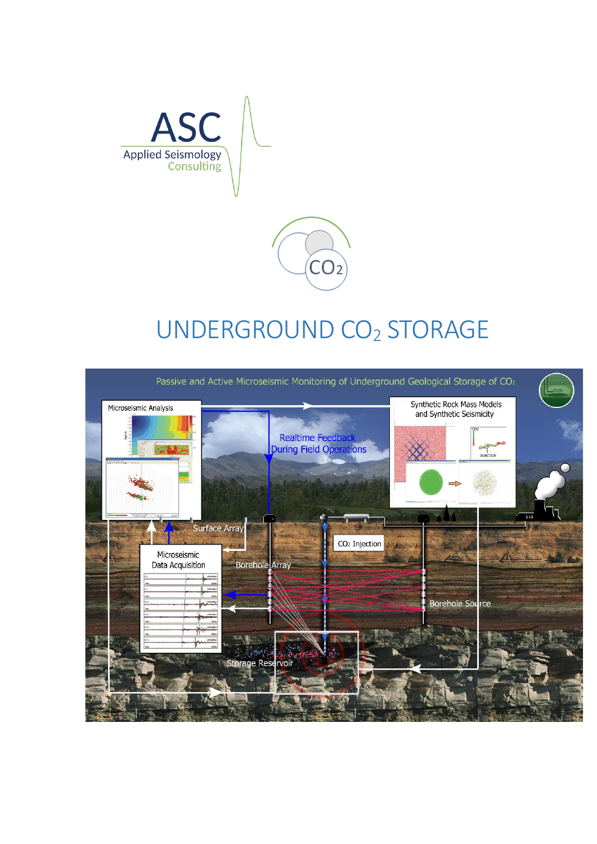

### UNDERGROUND CO<sup>2</sup> STORAGE

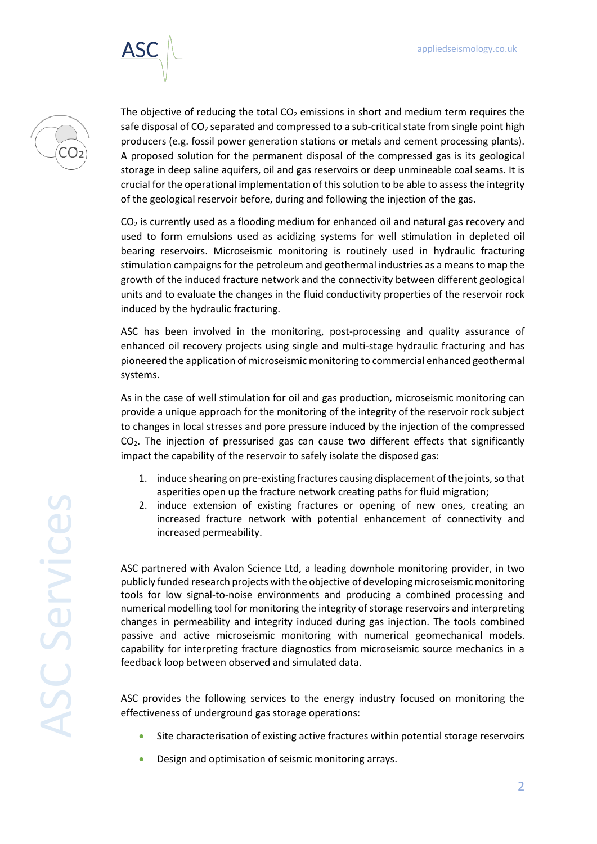



The objective of reducing the total  $CO<sub>2</sub>$  emissions in short and medium term requires the safe disposal of  $CO<sub>2</sub>$  separated and compressed to a sub-critical state from single point high producers (e.g. fossil power generation stations or metals and cement processing plants). A proposed solution for the permanent disposal of the compressed gas is its geological storage in deep saline aquifers, oil and gas reservoirs or deep unmineable coal seams. It is crucial for the operational implementation of this solution to be able to assess the integrity of the geological reservoir before, during and following the injection of the gas.

 $CO<sub>2</sub>$  is currently used as a flooding medium for enhanced oil and natural gas recovery and used to form emulsions used as acidizing systems for well stimulation in depleted oil bearing reservoirs. Microseismic monitoring is routinely used in hydraulic fracturing stimulation campaigns for the petroleum and geothermal industries as a means to map the growth of the induced fracture network and the connectivity between different geological units and to evaluate the changes in the fluid conductivity properties of the reservoir rock induced by the hydraulic fracturing.

ASC has been involved in the monitoring, post-processing and quality assurance of enhanced oil recovery projects using single and multi-stage hydraulic fracturing and has pioneered the application of microseismic monitoring to commercial enhanced geothermal systems.

As in the case of well stimulation for oil and gas production, microseismic monitoring can provide a unique approach for the monitoring of the integrity of the reservoir rock subject to changes in local stresses and pore pressure induced by the injection of the compressed CO2. The injection of pressurised gas can cause two different effects that significantly impact the capability of the reservoir to safely isolate the disposed gas:

- 1. induce shearing on pre-existing fractures causing displacement of the joints, so that asperities open up the fracture network creating paths for fluid migration;
- 2. induce extension of existing fractures or opening of new ones, creating an increased fracture network with potential enhancement of connectivity and increased permeability.

ASC partnered with Avalon Science Ltd, a leading downhole monitoring provider, in two publicly funded research projects with the objective of developing microseismic monitoring tools for low signal-to-noise environments and producing a combined processing and numerical modelling tool for monitoring the integrity of storage reservoirs and interpreting changes in permeability and integrity induced during gas injection. The tools combined passive and active microseismic monitoring with numerical geomechanical models. capability for interpreting fracture diagnostics from microseismic source mechanics in a feedback loop between observed and simulated data.

ASC provides the following services to the energy industry focused on monitoring the effectiveness of underground gas storage operations:

- Site characterisation of existing active fractures within potential storage reservoirs
- Design and optimisation of seismic monitoring arrays.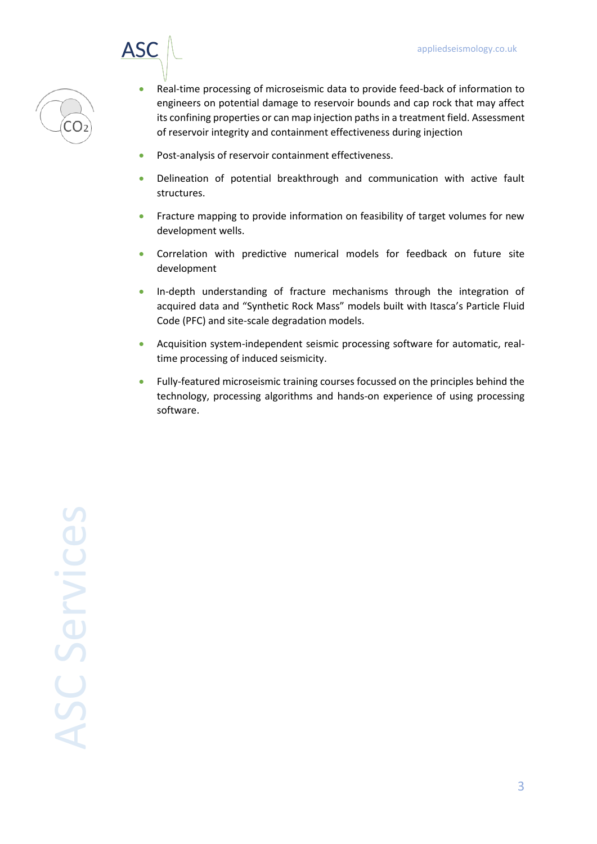

- Real-time processing of microseismic data to provide feed-back of information to engineers on potential damage to reservoir bounds and cap rock that may affect its confining properties or can map injection paths in a treatment field. Assessment of reservoir integrity and containment effectiveness during injection
- Post-analysis of reservoir containment effectiveness.
- Delineation of potential breakthrough and communication with active fault structures.
- Fracture mapping to provide information on feasibility of target volumes for new development wells.
- Correlation with predictive numerical models for feedback on future site development
- In-depth understanding of fracture mechanisms through the integration of acquired data and "Synthetic Rock Mass" models built with Itasca's Particle Fluid Code (PFC) and site-scale degradation models.
- Acquisition system-independent seismic processing software for automatic, realtime processing of induced seismicity.
- Fully-featured microseismic training courses focussed on the principles behind the technology, processing algorithms and hands-on experience of using processing software.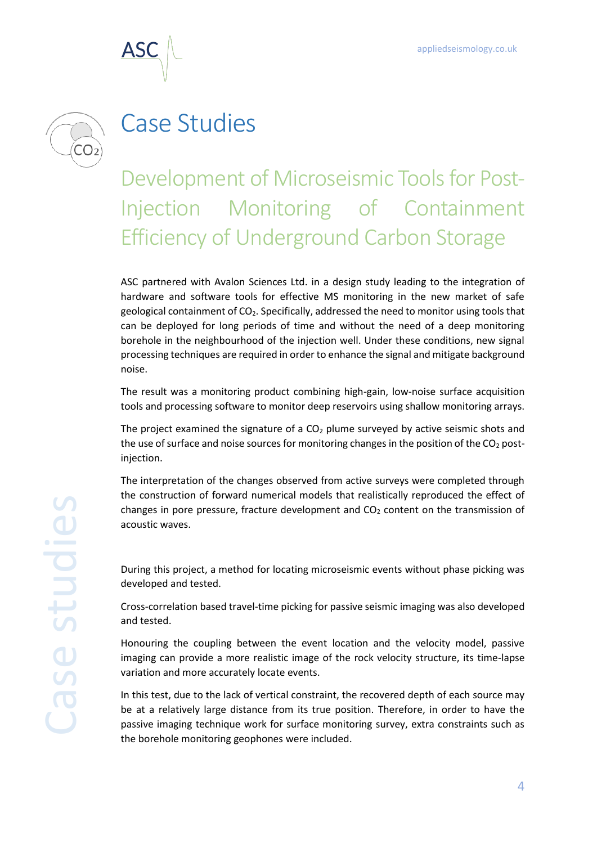



# Case Studies

#### Development of Microseismic Tools for Post-Injection Monitoring of Containment Efficiency of Underground Carbon Storage

ASC partnered with Avalon Sciences Ltd. in a design study leading to the integration of hardware and software tools for effective MS monitoring in the new market of safe geological containment of CO2. Specifically, addressed the need to monitor using tools that can be deployed for long periods of time and without the need of a deep monitoring borehole in the neighbourhood of the injection well. Under these conditions, new signal processing techniques are required in order to enhance the signal and mitigate background noise.

The result was a monitoring product combining high-gain, low-noise surface acquisition tools and processing software to monitor deep reservoirs using shallow monitoring arrays.

The project examined the signature of a  $CO<sub>2</sub>$  plume surveyed by active seismic shots and the use of surface and noise sources for monitoring changes in the position of the  $CO<sub>2</sub>$  postinjection.

The interpretation of the changes observed from active surveys were completed through the construction of forward numerical models that realistically reproduced the effect of changes in pore pressure, fracture development and  $CO<sub>2</sub>$  content on the transmission of acoustic waves.

During this project, a method for locating microseismic events without phase picking was developed and tested.

Cross-correlation based travel-time picking for passive seismic imaging was also developed and tested.

Honouring the coupling between the event location and the velocity model, passive imaging can provide a more realistic image of the rock velocity structure, its time-lapse variation and more accurately locate events.

In this test, due to the lack of vertical constraint, the recovered depth of each source may be at a relatively large distance from its true position. Therefore, in order to have the passive imaging technique work for surface monitoring survey, extra constraints such as the borehole monitoring geophones were included.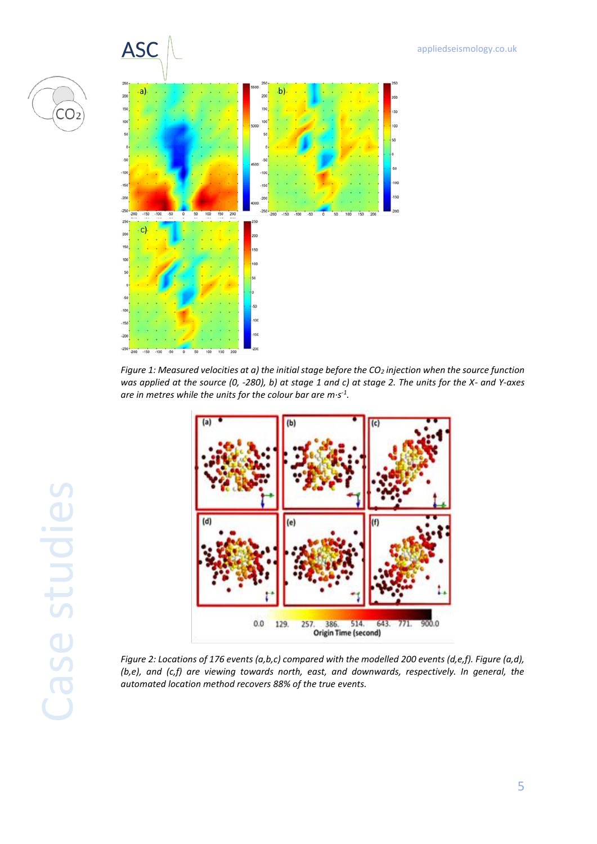



*Figure 1: Measured velocities at a) the initial stage before the CO<sup>2</sup> injection when the source function was applied at the source (0, -280), b) at stage 1 and c) at stage 2. The units for the X- and Y-axes are in metres while the units for the colour bar are m·s -1 .*



*Figure 2: Locations of 176 events (a,b,c) compared with the modelled 200 events (d,e,f). Figure (a,d), (b,e), and (c,f) are viewing towards north, east, and downwards, respectively. In general, the automated location method recovers 88% of the true events.*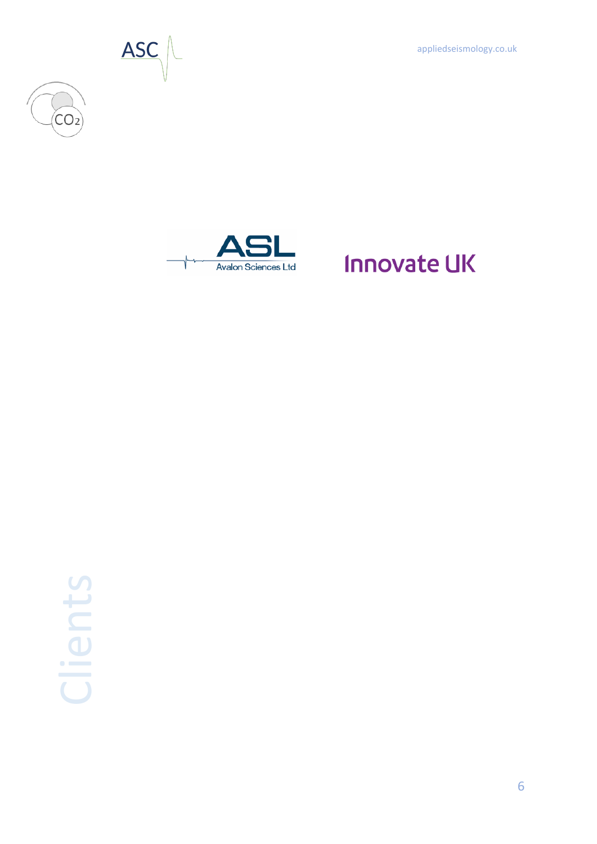appliedseismology.co.uk



 $CO<sub>2</sub>$ 



# **Innovate UK**



6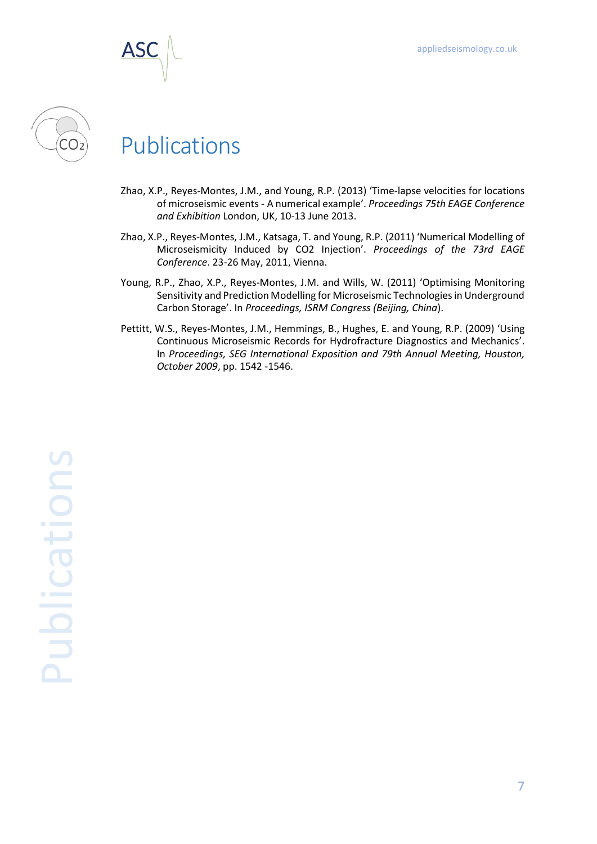



#### Publications

- Zhao, X.P., Reyes-Montes, J.M., and Young, R.P. (2013) 'Time-lapse velocities for locations of microseismic events - A numerical example'. *Proceedings 75th EAGE Conference and Exhibition* London, UK, 10-13 June 2013.
- Zhao, X.P., Reyes-Montes, J.M., Katsaga, T. and Young, R.P. (2011) 'Numerical Modelling of Microseismicity Induced by CO2 Injection'. *Proceedings of the 73rd EAGE Conference*. 23-26 May, 2011, Vienna.
- Young, R.P., Zhao, X.P., Reyes-Montes, J.M. and Wills, W. (2011) 'Optimising Monitoring Sensitivity and Prediction Modelling for Microseismic Technologies in Underground Carbon Storage'. In *Proceedings, ISRM Congress (Beijing, China*).
- Pettitt, W.S., Reyes-Montes, J.M., Hemmings, B., Hughes, E. and Young, R.P. (2009) 'Using Continuous Microseismic Records for Hydrofracture Diagnostics and Mechanics'. In *Proceedings, SEG International Exposition and 79th Annual Meeting, Houston, October 2009*, pp. 1542 -1546.

**anolications** Publications